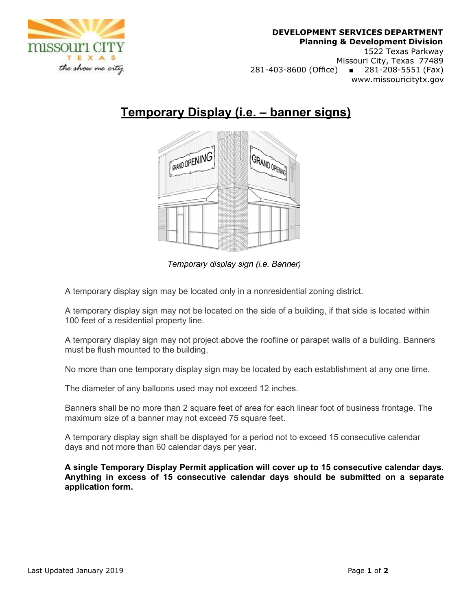

## **DEVELOPMENT SERVICES DEPARTMENT Planning & Development Division**

1522 Texas Parkway Missouri City, Texas 77489 281-403-8600 (Office) ■ 281-208-5551 (Fax) www.missouricitytx.gov

## **Temporary Display (i.e. – banner signs)**



Temporary display sign (i.e. Banner)

A temporary display sign may be located only in a nonresidential zoning district.

A temporary display sign may not be located on the side of a building, if that side is located within 100 feet of a residential property line.

A temporary display sign may not project above the roofline or parapet walls of a building. Banners must be flush mounted to the building.

No more than one temporary display sign may be located by each establishment at any one time.

The diameter of any balloons used may not exceed 12 inches.

Banners shall be no more than 2 square feet of area for each linear foot of business frontage. The maximum size of a banner may not exceed 75 square feet.

A temporary display sign shall be displayed for a period not to exceed 15 consecutive calendar days and not more than 60 calendar days per year.

**A single Temporary Display Permit application will cover up to 15 consecutive calendar days. Anything in excess of 15 consecutive calendar days should be submitted on a separate application form.**